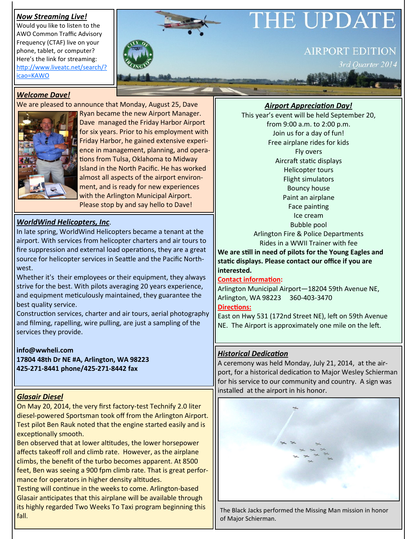# *Now Streaming Live!*

Would you like to listen to the AWO Common Traffic Advisory Frequency (CTAF) live on your phone, tablet, or computer? Here's the link for streaming: [http://www.liveatc.net/search/?](http://www.liveatc.net/search/?icao=KAWO) [icao=KAWO](http://www.liveatc.net/search/?icao=KAWO)

# HE UPDA

# **AIRPORT EDITION**

Ouarter 2014

# *Welcome Dave!*

We are pleased to announce that Monday, August 25, Dave



Ryan became the new Airport Manager. Dave managed the Friday Harbor Airport for six years. Prior to his employment with Friday Harbor, he gained extensive experience in management, planning, and operations from Tulsa, Oklahoma to Midway Island in the North Pacific. He has worked almost all aspects of the airport environment, and is ready for new experiences with the Arlington Municipal Airport. Please stop by and say hello to Dave!

# *WorldWind Helicopters, Inc*.

In late spring, WorldWind Helicopters became a tenant at the airport. With services from helicopter charters and air tours to fire suppression and external load operations, they are a great source for helicopter services in Seattle and the Pacific Northwest.

Whether it's their employees or their equipment, they always strive for the best. With pilots averaging 20 years experience, and equipment meticulously maintained, they guarantee the best quality service.

Construction services, charter and air tours, aerial photography and filming, rapelling, wire pulling, are just a sampling of the services they provide.

#### **info@wwheli.com 17804 48th Dr NE #A, Arlington, WA 98223 425-271-8441 phone/425-271-8442 fax**

# *Glasair Diesel*

On May 20, 2014, the very first factory-test Technify 2.0 liter diesel-powered Sportsman took off from the Arlington Airport. Test pilot Ben Rauk noted that the engine started easily and is exceptionally smooth.

Ben observed that at lower altitudes, the lower horsepower affects takeoff roll and climb rate. However, as the airplane climbs, the benefit of the turbo becomes apparent. At 8500 feet, Ben was seeing a 900 fpm climb rate. That is great performance for operators in higher density altitudes.

Testing will continue in the weeks to come. Arlington-based Glasair anticipates that this airplane will be available through its highly regarded Two Weeks To Taxi program beginning this fall.

*Airport Appreciation Day!*

This year's event will be held September 20, from 9:00 a.m. to 2:00 p.m. Join us for a day of fun! Free airplane rides for kids Fly overs Aircraft static displays Helicopter tours Flight simulators Bouncy house Paint an airplane Face painting Ice cream Bubble pool Arlington Fire & Police Departments Rides in a WWII Trainer with fee

**We are still in need of pilots for the Young Eagles and static displays. Please contact our office if you are interested.**

#### **Contact information:**

Arlington Municipal Airport—18204 59th Avenue NE, Arlington, WA 98223 360-403-3470

#### **Directions:**

East on Hwy 531 (172nd Street NE), left on 59th Avenue NE. The Airport is approximately one mile on the left.

# *Historical Dedication*

A ceremony was held Monday, July 21, 2014, at the airport, for a historical dedication to Major Wesley Schierman for his service to our community and country. A sign was installed at the airport in his honor.



The Black Jacks performed the Missing Man mission in honor of Major Schierman.